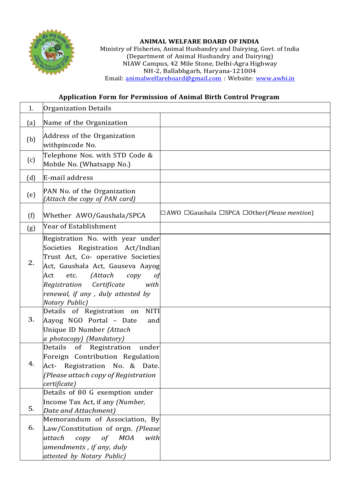

## **ANIMAL WELFARE BOARD OF INDIA**

Ministry of Fisheries, Animal Husbandry and Dairying, Govt. of India (Department of Animal Husbandry and Dairying) NIAW Campus, 42 Mile Stone, Delhi-Agra Highway NH-2, Ballabhgarh, Haryana-121004 Email: [animalwelfareboard@gmail.com](mailto:animalwelfareboard@gmail.com) : Website: [www.awbi.in](http://www.awbi.in/)

## **Application Form for Permission of Animal Birth Control Program**

| 1.  | Organization Details                                                                                                                                                                                                                                                               |                                                                              |
|-----|------------------------------------------------------------------------------------------------------------------------------------------------------------------------------------------------------------------------------------------------------------------------------------|------------------------------------------------------------------------------|
| (a) | Name of the Organization                                                                                                                                                                                                                                                           |                                                                              |
| (b) | Address of the Organization<br>withpincode No.                                                                                                                                                                                                                                     |                                                                              |
| (c) | Telephone Nos. with STD Code &<br>Mobile No. (Whatsapp No.)                                                                                                                                                                                                                        |                                                                              |
| (d) | E-mail address                                                                                                                                                                                                                                                                     |                                                                              |
| (e) | PAN No. of the Organization<br>(Attach the copy of PAN card)                                                                                                                                                                                                                       |                                                                              |
| (f) | Whether AWO/Gaushala/SPCA                                                                                                                                                                                                                                                          | $\Box$ AWO $\Box$ Gaushala $\Box$ SPCA $\Box$ Other( <i>Please mention</i> ) |
| (g) | Year of Establishment                                                                                                                                                                                                                                                              |                                                                              |
| 2.  | Registration No. with year under<br>Societies Registration Act/Indian<br>Trust Act, Co- operative Societies<br>Act, Gaushala Act, Gauseva Aayog<br>(Attach<br>etc.<br>Act<br>copy<br>01<br>Registration Certificate<br>with<br>renewal, if any, duly attested by<br>Notary Public) |                                                                              |
| 3.  | <b>NITI</b><br>Details of Registration on<br>Aayog NGO Portal - Date<br>and<br>Unique ID Number (Attach<br>a photocopy) (Mandatory)                                                                                                                                                |                                                                              |
| 4.  | Details<br>of<br>Registration<br>under<br>Foreign Contribution Regulation<br>Registration No. & Date.<br>Act-<br>(Please attach copy of Registration<br>certificate)                                                                                                               |                                                                              |
| 5.  | Details of 80 G exemption under<br>Income Tax Act, if any (Number,<br>Date and Attachment)                                                                                                                                                                                         |                                                                              |
| 6.  | Memorandum of Association, By<br>Law/Constitution of orgn. (Please<br>of MOA<br>attach<br>copy<br>with<br>amendments, if any, duly<br>attested by Notary Public)                                                                                                                   |                                                                              |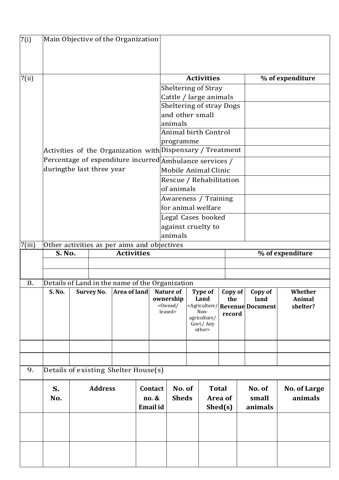| 7(i)                 | Main Objective of the Organization                         |  |                   |              |  |                               |                                                         |  |                        |  |                |                                                                            |                   |
|----------------------|------------------------------------------------------------|--|-------------------|--------------|--|-------------------------------|---------------------------------------------------------|--|------------------------|--|----------------|----------------------------------------------------------------------------|-------------------|
|                      |                                                            |  |                   |              |  |                               |                                                         |  |                        |  |                |                                                                            |                   |
|                      |                                                            |  |                   |              |  |                               |                                                         |  | <b>Activities</b>      |  |                |                                                                            |                   |
| 7(ii)                |                                                            |  |                   |              |  |                               |                                                         |  |                        |  |                |                                                                            | % of expenditure  |
|                      |                                                            |  |                   |              |  |                               | Sheltering of Stray<br>Cattle / large animals           |  |                        |  |                |                                                                            |                   |
|                      |                                                            |  |                   |              |  |                               |                                                         |  |                        |  |                |                                                                            |                   |
|                      |                                                            |  |                   |              |  |                               | <b>Sheltering of stray Dogs</b><br>and other small      |  |                        |  |                |                                                                            |                   |
|                      |                                                            |  |                   |              |  |                               | animals                                                 |  |                        |  |                |                                                                            |                   |
|                      |                                                            |  |                   |              |  |                               | <b>Animal birth Control</b>                             |  |                        |  |                |                                                                            |                   |
|                      |                                                            |  |                   |              |  |                               | programme                                               |  |                        |  |                |                                                                            |                   |
|                      | Activities of the Organization with Dispensary / Treatment |  |                   |              |  |                               |                                                         |  |                        |  |                |                                                                            |                   |
|                      |                                                            |  |                   |              |  |                               | Percentage of expenditure incurred Ambulance services / |  |                        |  |                |                                                                            |                   |
|                      | duringthe last three year                                  |  |                   |              |  |                               | <b>Mobile Animal Clinic</b>                             |  |                        |  |                |                                                                            |                   |
|                      |                                                            |  |                   |              |  |                               | Rescue / Rehabilitation                                 |  |                        |  |                |                                                                            |                   |
|                      |                                                            |  |                   |              |  | of animals                    |                                                         |  |                        |  |                |                                                                            |                   |
|                      |                                                            |  |                   |              |  |                               | Awareness / Training                                    |  |                        |  |                |                                                                            |                   |
|                      |                                                            |  |                   |              |  |                               | for animal welfare                                      |  |                        |  |                |                                                                            |                   |
|                      |                                                            |  |                   |              |  |                               | Legal Cases booked                                      |  |                        |  |                |                                                                            |                   |
|                      |                                                            |  |                   |              |  |                               | against cruelty to                                      |  |                        |  |                |                                                                            |                   |
|                      |                                                            |  |                   |              |  |                               | animals                                                 |  |                        |  |                |                                                                            |                   |
| $\overline{7}$ (iii) | Other activities as per aims and objectives                |  |                   |              |  |                               |                                                         |  |                        |  |                |                                                                            |                   |
|                      | <b>S. No.</b><br><b>Activities</b>                         |  |                   |              |  |                               |                                                         |  |                        |  |                |                                                                            | % of expenditure  |
|                      |                                                            |  |                   |              |  |                               |                                                         |  |                        |  |                |                                                                            |                   |
|                      |                                                            |  |                   |              |  |                               |                                                         |  |                        |  |                |                                                                            |                   |
| 8.                   | Details of Land in the name of the Organization            |  |                   |              |  |                               |                                                         |  |                        |  |                |                                                                            |                   |
|                      | S. No.                                                     |  | <b>Survey No.</b> | Area of land |  | <b>Nature of</b><br>ownership |                                                         |  | <b>Type of</b><br>Land |  | Copy of<br>the | Copy of<br>land                                                            | Whether<br>Animal |
|                      |                                                            |  |                   |              |  |                               | <0wned/                                                 |  |                        |  |                | <agriculture document<="" revenue="" td=""><td>shelter?</td></agriculture> | shelter?          |
|                      |                                                            |  |                   |              |  |                               | leased>                                                 |  | Non-<br>agriculture/   |  | record         |                                                                            |                   |
|                      |                                                            |  |                   |              |  |                               |                                                         |  | Govt./ Any             |  |                |                                                                            |                   |
|                      |                                                            |  |                   |              |  |                               |                                                         |  | other>                 |  |                |                                                                            |                   |
|                      |                                                            |  |                   |              |  |                               |                                                         |  |                        |  |                |                                                                            |                   |
|                      |                                                            |  |                   |              |  |                               |                                                         |  |                        |  |                |                                                                            |                   |
|                      |                                                            |  |                   |              |  |                               |                                                         |  |                        |  |                |                                                                            |                   |
| 9.                   | Details of existing Shelter House(s)                       |  |                   |              |  |                               |                                                         |  |                        |  |                |                                                                            |                   |
|                      | S.                                                         |  | <b>Address</b>    |              |  | Contact                       | No. of                                                  |  | <b>Total</b>           |  |                | No. of                                                                     | No. of Large      |
|                      | No.                                                        |  |                   |              |  | no. &                         | <b>Sheds</b>                                            |  | Area of                |  |                | small                                                                      | animals           |
|                      |                                                            |  |                   |              |  | Email id                      |                                                         |  | Shed(s)                |  |                | animals                                                                    |                   |
|                      |                                                            |  |                   |              |  |                               |                                                         |  |                        |  |                |                                                                            |                   |
|                      |                                                            |  |                   |              |  |                               |                                                         |  |                        |  |                |                                                                            |                   |
|                      |                                                            |  |                   |              |  |                               |                                                         |  |                        |  |                |                                                                            |                   |
|                      |                                                            |  |                   |              |  |                               |                                                         |  |                        |  |                |                                                                            |                   |
|                      |                                                            |  |                   |              |  |                               |                                                         |  |                        |  |                |                                                                            |                   |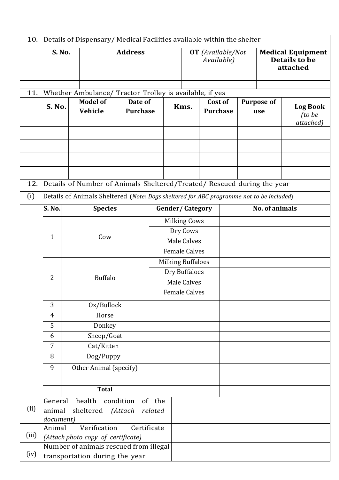| 10.   |                     |                                             | Details of Dispensary/ Medical Facilities available within the shelter                                     |                            |                     |                          |                        |                                        |  |                          |                                                              |                                        |  |
|-------|---------------------|---------------------------------------------|------------------------------------------------------------------------------------------------------------|----------------------------|---------------------|--------------------------|------------------------|----------------------------------------|--|--------------------------|--------------------------------------------------------------|----------------------------------------|--|
|       |                     | S. No.                                      |                                                                                                            | <b>Address</b>             |                     |                          |                        | <b>OT</b> (Available/Not<br>Available) |  |                          | <b>Medical Equipment</b><br><b>Details to be</b><br>attached |                                        |  |
|       |                     |                                             |                                                                                                            |                            |                     |                          |                        |                                        |  |                          |                                                              |                                        |  |
| 11.   |                     |                                             | Whether Ambulance/ Tractor Trolley is available, if yes                                                    |                            |                     |                          |                        |                                        |  |                          |                                                              |                                        |  |
|       |                     | <b>Model of</b><br><b>S. No.</b><br>Vehicle |                                                                                                            | Date of<br><b>Purchase</b> |                     | Kms.                     |                        | Cost of<br><b>Purchase</b>             |  | <b>Purpose of</b><br>use |                                                              | <b>Log Book</b><br>(to be<br>attached) |  |
|       |                     |                                             |                                                                                                            |                            |                     |                          |                        |                                        |  |                          |                                                              |                                        |  |
|       |                     |                                             |                                                                                                            |                            |                     |                          |                        |                                        |  |                          |                                                              |                                        |  |
|       |                     |                                             |                                                                                                            |                            |                     |                          |                        |                                        |  |                          |                                                              |                                        |  |
| 12.   |                     |                                             | Details of Number of Animals Sheltered/Treated/ Rescued during the year                                    |                            |                     |                          |                        |                                        |  |                          |                                                              |                                        |  |
| (i)   |                     |                                             |                                                                                                            |                            |                     |                          |                        |                                        |  |                          |                                                              |                                        |  |
|       | <b>S. No.</b>       |                                             | Details of Animals Sheltered (Note: Dogs sheltered for ABC programme not to be included)<br><b>Species</b> |                            |                     |                          | <b>Gender/Category</b> |                                        |  |                          | <b>No. of animals</b>                                        |                                        |  |
|       |                     |                                             |                                                                                                            |                            | <b>Milking Cows</b> |                          |                        |                                        |  |                          |                                                              |                                        |  |
|       |                     |                                             |                                                                                                            |                            |                     |                          | Dry Cows               |                                        |  |                          |                                                              |                                        |  |
|       | $\mathbf{1}$<br>Cow |                                             |                                                                                                            |                            |                     | Male Calves              |                        |                                        |  |                          |                                                              |                                        |  |
|       |                     |                                             |                                                                                                            |                            |                     | <b>Female Calves</b>     |                        |                                        |  |                          |                                                              |                                        |  |
|       |                     |                                             |                                                                                                            |                            |                     | <b>Milking Buffaloes</b> |                        |                                        |  |                          |                                                              |                                        |  |
|       | $\overline{2}$      |                                             | <b>Buffalo</b>                                                                                             |                            |                     | Dry Buffaloes            |                        |                                        |  |                          |                                                              |                                        |  |
|       |                     |                                             |                                                                                                            |                            |                     | Male Calves              |                        |                                        |  |                          |                                                              |                                        |  |
|       |                     |                                             |                                                                                                            |                            |                     | <b>Female Calves</b>     |                        |                                        |  |                          |                                                              |                                        |  |
|       | 3                   |                                             | Ox/Bullock                                                                                                 |                            |                     |                          |                        |                                        |  |                          |                                                              |                                        |  |
|       | $\overline{4}$      |                                             | Horse                                                                                                      |                            |                     |                          |                        |                                        |  |                          |                                                              |                                        |  |
|       | 5                   |                                             | Donkey                                                                                                     |                            |                     |                          |                        |                                        |  |                          |                                                              |                                        |  |
|       | 6                   |                                             | Sheep/Goat                                                                                                 |                            |                     |                          |                        |                                        |  |                          |                                                              |                                        |  |
|       | 7                   |                                             | Cat/Kitten                                                                                                 |                            |                     |                          |                        |                                        |  |                          |                                                              |                                        |  |
|       | 8                   |                                             | Dog/Puppy                                                                                                  |                            |                     |                          |                        |                                        |  |                          |                                                              |                                        |  |
|       | 9                   |                                             | Other Animal (specify)                                                                                     |                            |                     |                          |                        |                                        |  |                          |                                                              |                                        |  |
|       |                     |                                             | <b>Total</b>                                                                                               |                            |                     |                          |                        |                                        |  |                          |                                                              |                                        |  |
|       | General             |                                             | health                                                                                                     | condition                  | of the              |                          |                        |                                        |  |                          |                                                              |                                        |  |
| (ii)  | animal<br>document) |                                             | sheltered (Attach                                                                                          |                            | related             |                          |                        |                                        |  |                          |                                                              |                                        |  |
|       | Animal              |                                             | Verification                                                                                               | Certificate                |                     |                          |                        |                                        |  |                          |                                                              |                                        |  |
| (iii) |                     |                                             | (Attach photo copy of certificate)                                                                         |                            |                     |                          |                        |                                        |  |                          |                                                              |                                        |  |
| (iv)  |                     |                                             | Number of animals rescued from illegal                                                                     |                            |                     |                          |                        |                                        |  |                          |                                                              |                                        |  |
|       |                     |                                             | transportation during the year                                                                             |                            |                     |                          |                        |                                        |  |                          |                                                              |                                        |  |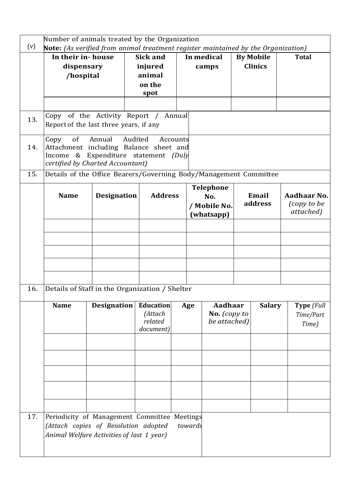|     | Number of animals treated by the Organization                                                                                     |                    |         |                                                     |        |                                                       |                                                |                  |                  |                                         |  |
|-----|-----------------------------------------------------------------------------------------------------------------------------------|--------------------|---------|-----------------------------------------------------|--------|-------------------------------------------------------|------------------------------------------------|------------------|------------------|-----------------------------------------|--|
| (v) | Note: (As verified from animal treatment register maintained by the Organization)                                                 |                    |         |                                                     |        |                                                       |                                                |                  |                  |                                         |  |
|     | In their in-house                                                                                                                 |                    |         | <b>Sick and</b>                                     |        |                                                       | In medical                                     |                  | <b>By Mobile</b> | <b>Total</b>                            |  |
|     | dispensary                                                                                                                        |                    | injured |                                                     |        |                                                       | camps                                          |                  | <b>Clinics</b>   |                                         |  |
|     | /hospital                                                                                                                         |                    | animal  |                                                     |        |                                                       |                                                |                  |                  |                                         |  |
|     |                                                                                                                                   |                    | on the  |                                                     |        |                                                       |                                                |                  |                  |                                         |  |
|     |                                                                                                                                   |                    |         | spot                                                |        |                                                       |                                                |                  |                  |                                         |  |
|     |                                                                                                                                   |                    |         |                                                     |        |                                                       |                                                |                  |                  |                                         |  |
| 13. | Copy of the Activity Report /<br>Report of the last three years, if any                                                           |                    |         |                                                     | Annual |                                                       |                                                |                  |                  |                                         |  |
| 14. | of<br>Copy<br>Attachment including Balance sheet and<br>Income & Expenditure statement (Duly<br>certified by Charted Accountant)  | Annual             | Audited | Accounts                                            |        |                                                       |                                                |                  |                  |                                         |  |
| 15. | Details of the Office Bearers/Governing Body/Management Committee                                                                 |                    |         |                                                     |        |                                                       |                                                |                  |                  |                                         |  |
|     | <b>Name</b>                                                                                                                       | <b>Designation</b> |         | <b>Address</b>                                      |        | <b>Telephone</b><br>No.<br>/ Mobile No.<br>(whatsapp) |                                                | Email<br>address |                  | Aadhaar No.<br>(copy to be<br>attached) |  |
|     |                                                                                                                                   |                    |         |                                                     |        |                                                       |                                                |                  |                  |                                         |  |
|     |                                                                                                                                   |                    |         |                                                     |        |                                                       |                                                |                  |                  |                                         |  |
| 16. | Details of Staff in the Organization / Shelter                                                                                    |                    |         |                                                     |        |                                                       |                                                |                  |                  |                                         |  |
|     | <b>Name</b>                                                                                                                       | <b>Designation</b> |         | <b>Education</b><br>(Attach<br>related<br>document) |        | Age                                                   | <b>Aadhaar</b><br>No. (copy to<br>be attached) |                  | <b>Salary</b>    | Type (Full<br>Time/Part<br>Time)        |  |
|     |                                                                                                                                   |                    |         |                                                     |        |                                                       |                                                |                  |                  |                                         |  |
|     |                                                                                                                                   |                    |         |                                                     |        |                                                       |                                                |                  |                  |                                         |  |
| 17. | Periodicity of Management Committee Meetings<br>(Attach copies of Resolution adopted<br>Animal Welfare Activities of last 1 year) |                    |         |                                                     |        | towards                                               |                                                |                  |                  |                                         |  |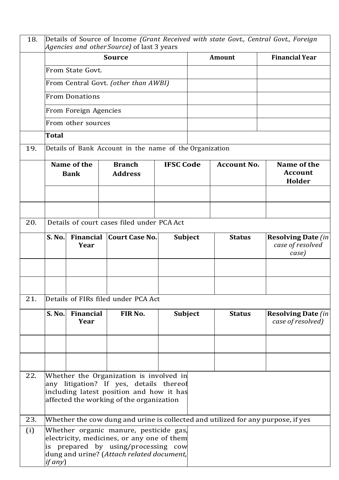| 18. | Details of Source of Income (Grant Received with state Govt., Central Govt., Foreign<br>Agencies and other Source) of last 3 years                                         |                          |                                                                                                                                                                          |  |                    |                                                                                  |                                                         |  |  |  |
|-----|----------------------------------------------------------------------------------------------------------------------------------------------------------------------------|--------------------------|--------------------------------------------------------------------------------------------------------------------------------------------------------------------------|--|--------------------|----------------------------------------------------------------------------------|---------------------------------------------------------|--|--|--|
|     |                                                                                                                                                                            |                          | <b>Source</b>                                                                                                                                                            |  |                    | Amount                                                                           | <b>Financial Year</b>                                   |  |  |  |
|     |                                                                                                                                                                            | From State Govt.         |                                                                                                                                                                          |  |                    |                                                                                  |                                                         |  |  |  |
|     |                                                                                                                                                                            |                          | From Central Govt. (other than AWBI)                                                                                                                                     |  |                    |                                                                                  |                                                         |  |  |  |
|     |                                                                                                                                                                            | <b>From Donations</b>    |                                                                                                                                                                          |  |                    |                                                                                  |                                                         |  |  |  |
|     |                                                                                                                                                                            | From Foreign Agencies    |                                                                                                                                                                          |  |                    |                                                                                  |                                                         |  |  |  |
|     |                                                                                                                                                                            | From other sources       |                                                                                                                                                                          |  |                    |                                                                                  |                                                         |  |  |  |
|     | Total                                                                                                                                                                      |                          |                                                                                                                                                                          |  |                    |                                                                                  |                                                         |  |  |  |
| 19. |                                                                                                                                                                            |                          | Details of Bank Account in the name of the Organization                                                                                                                  |  |                    |                                                                                  |                                                         |  |  |  |
|     | Name of the<br><b>Branch</b><br><b>Bank</b><br><b>Address</b>                                                                                                              |                          | <b>IFSC Code</b>                                                                                                                                                         |  | <b>Account No.</b> | Name of the<br><b>Account</b><br>Holder                                          |                                                         |  |  |  |
|     |                                                                                                                                                                            |                          |                                                                                                                                                                          |  |                    |                                                                                  |                                                         |  |  |  |
|     |                                                                                                                                                                            |                          |                                                                                                                                                                          |  |                    |                                                                                  |                                                         |  |  |  |
| 20. | Details of court cases filed under PCA Act                                                                                                                                 |                          |                                                                                                                                                                          |  |                    |                                                                                  |                                                         |  |  |  |
|     | <b>S. No.</b>                                                                                                                                                              | <b>Financial</b><br>Year | Court Case No.                                                                                                                                                           |  | Subject            | <b>Status</b>                                                                    | <b>Resolving Date (in)</b><br>case of resolved<br>case) |  |  |  |
|     |                                                                                                                                                                            |                          |                                                                                                                                                                          |  |                    |                                                                                  |                                                         |  |  |  |
|     |                                                                                                                                                                            |                          |                                                                                                                                                                          |  |                    |                                                                                  |                                                         |  |  |  |
| 21. |                                                                                                                                                                            |                          | Details of FIRs filed under PCA Act                                                                                                                                      |  |                    |                                                                                  |                                                         |  |  |  |
|     | <b>S. No.</b>                                                                                                                                                              | <b>Financial</b><br>Year | FIR No.                                                                                                                                                                  |  | <b>Subject</b>     | <b>Status</b>                                                                    | <b>Resolving Date (in</b><br>case of resolved)          |  |  |  |
|     |                                                                                                                                                                            |                          |                                                                                                                                                                          |  |                    |                                                                                  |                                                         |  |  |  |
|     |                                                                                                                                                                            |                          |                                                                                                                                                                          |  |                    |                                                                                  |                                                         |  |  |  |
| 22. | Whether the Organization is involved in<br>any litigation? If yes, details thereof<br>including latest position and how it has<br>affected the working of the organization |                          |                                                                                                                                                                          |  |                    |                                                                                  |                                                         |  |  |  |
| 23. |                                                                                                                                                                            |                          |                                                                                                                                                                          |  |                    | Whether the cow dung and urine is collected and utilized for any purpose, if yes |                                                         |  |  |  |
| (i) | if any)                                                                                                                                                                    |                          | Whether organic manure, pesticide gas,<br>electricity, medicines, or any one of them<br>is prepared by using/processing cow<br>dung and urine? (Attach related document, |  |                    |                                                                                  |                                                         |  |  |  |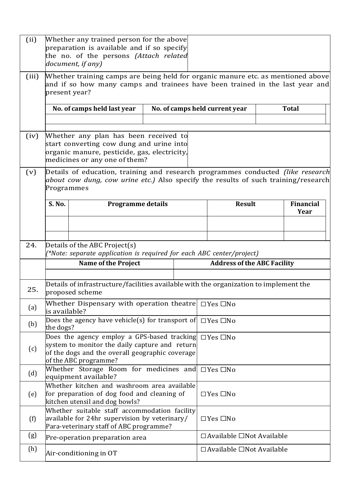| (ii)  | Whether any trained person for the above<br>preparation is available and if so specify<br>the no. of the persons (Attach related<br>document, if any)                                        |                                                                                                                                                                           |                      |                                                |                                           |  |  |  |  |
|-------|----------------------------------------------------------------------------------------------------------------------------------------------------------------------------------------------|---------------------------------------------------------------------------------------------------------------------------------------------------------------------------|----------------------|------------------------------------------------|-------------------------------------------|--|--|--|--|
| (iii) | Whether training camps are being held for organic manure etc. as mentioned above<br>and if so how many camps and trainees have been trained in the last year and<br>present year?            |                                                                                                                                                                           |                      |                                                |                                           |  |  |  |  |
|       |                                                                                                                                                                                              | No. of camps held last year                                                                                                                                               |                      | No. of camps held current year<br><b>Total</b> |                                           |  |  |  |  |
| (iv)  | Whether any plan has been received to<br>start converting cow dung and urine into<br>organic manure, pesticide, gas, electricity,<br>medicines or any one of them?                           |                                                                                                                                                                           |                      |                                                |                                           |  |  |  |  |
| (v)   | Details of education, training and research programmes conducted <i>(like research</i> )<br>about cow dung, cow urine etc.) Also specify the results of such training/research<br>Programmes |                                                                                                                                                                           |                      |                                                |                                           |  |  |  |  |
|       | S. No.                                                                                                                                                                                       | <b>Programme details</b>                                                                                                                                                  |                      |                                                | <b>Result</b><br><b>Financial</b><br>Year |  |  |  |  |
|       |                                                                                                                                                                                              |                                                                                                                                                                           |                      |                                                |                                           |  |  |  |  |
| 24.   | Details of the ABC Project(s)<br>(*Note: separate application is required for each ABC center/project)                                                                                       |                                                                                                                                                                           |                      |                                                |                                           |  |  |  |  |
|       |                                                                                                                                                                                              | <b>Name of the Project</b>                                                                                                                                                |                      |                                                | <b>Address of the ABC Facility</b>        |  |  |  |  |
| 25.   |                                                                                                                                                                                              | Details of infrastructure/facilities available with the organization to implement the<br>proposed scheme                                                                  |                      |                                                |                                           |  |  |  |  |
| (a)   | lis available?                                                                                                                                                                               | Whether Dispensary with operation theatre $\Box$ Yes $\Box$ No                                                                                                            |                      |                                                |                                           |  |  |  |  |
| (b)   | the dogs?                                                                                                                                                                                    | Does the agency have vehicle(s) for transport of $\Box$ Yes $\Box$ No                                                                                                     |                      |                                                |                                           |  |  |  |  |
| (c)   |                                                                                                                                                                                              | Does the agency employ a GPS-based tracking<br>system to monitor the daily capture and return<br>of the dogs and the overall geographic coverage<br>of the ABC programme? | $\Box$ Yes $\Box$ No |                                                |                                           |  |  |  |  |
| (d)   |                                                                                                                                                                                              | Whether Storage Room for medicines and<br>equipment available?                                                                                                            | $\Box$ Yes $\Box$ No |                                                |                                           |  |  |  |  |
| (e)   |                                                                                                                                                                                              | Whether kitchen and washroom area available<br>for preparation of dog food and cleaning of<br>kitchen utensil and dog bowls?                                              |                      |                                                | $\Box$ Yes $\Box$ No                      |  |  |  |  |
| (f)   |                                                                                                                                                                                              | Whether suitable staff accommodation facility<br>available for 24hr supervision by veterinary/<br>Para-veterinary staff of ABC programme?                                 |                      |                                                | $\Box$ Yes $\Box$ No                      |  |  |  |  |
| (g)   |                                                                                                                                                                                              | Pre-operation preparation area                                                                                                                                            |                      |                                                | $\Box$ Available $\Box$ Not Available     |  |  |  |  |
| (h)   |                                                                                                                                                                                              | Air-conditioning in OT                                                                                                                                                    |                      |                                                | $\Box$ Available $\Box$ Not Available     |  |  |  |  |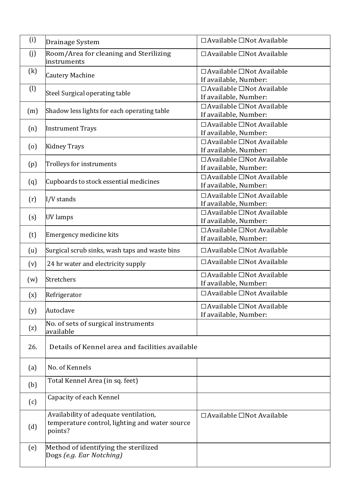| (i)               | Drainage System                                                                                    | $\Box$ Available $\Box$ Not Available                          |
|-------------------|----------------------------------------------------------------------------------------------------|----------------------------------------------------------------|
| (j)               | Room/Area for cleaning and Sterilizing<br>linstruments                                             | □ Available □ Not Available                                    |
| (k)               | <b>Cautery Machine</b>                                                                             | $\Box$ Available $\Box$ Not Available<br>If available, Number: |
| $\left( 1\right)$ | Steel Surgical operating table                                                                     | □ Available □ Not Available<br>If available, Number:           |
| (m)               | Shadow less lights for each operating table                                                        | $\Box$ Available $\Box$ Not Available<br>If available, Number: |
| (n)               | <b>Instrument Trays</b>                                                                            | □ Available □ Not Available<br>If available, Number:           |
| $\left( 0\right)$ | <b>Kidney Trays</b>                                                                                | $\Box$ Available $\Box$ Not Available<br>If available, Number: |
| (p)               | Trolleys for instruments                                                                           | □ Available □ Not Available<br>If available, Number:           |
| (q)               | Cupboards to stock essential medicines                                                             | □ Available □Not Available<br>If available, Number:            |
| (r)               | I/V stands                                                                                         | □ Available □ Not Available<br>If available, Number:           |
| (s)               | UV lamps                                                                                           | □ Available □ Not Available<br>If available, Number:           |
| (t)               | Emergency medicine kits                                                                            | $\Box$ Available $\Box$ Not Available<br>If available, Number: |
| (u)               | Surgical scrub sinks, wash taps and waste bins                                                     | □ Available □ Not Available                                    |
| (v)               | 24 hr water and electricity supply                                                                 | □ Available □ Not Available                                    |
| (w)               | Stretchers                                                                                         | □ Available □ Not Available<br>If available, Number:           |
| (x)               | Refrigerator                                                                                       | □ Available □ Not Available                                    |
| (y)               | Autoclave                                                                                          | □ Available □ Not Available<br>If available, Number:           |
| (z)               | No. of sets of surgical instruments<br>available                                                   |                                                                |
| 26.               | Details of Kennel area and facilities available                                                    |                                                                |
| (a)               | No. of Kennels                                                                                     |                                                                |
| (b)               | Total Kennel Area (in sq. feet)                                                                    |                                                                |
| (c)               | Capacity of each Kennel                                                                            |                                                                |
| (d)               | Availability of adequate ventilation,<br>temperature control, lighting and water source<br>points? | □ Available □ Not Available                                    |
| (e)               | Method of identifying the sterilized<br>Dogs (e.g. Ear Notching)                                   |                                                                |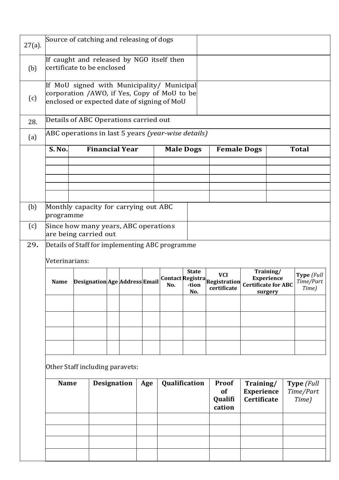| $27(a)$ . | Source of catching and releasing of dogs                                                                                                 |  |     |               |                               |                                         |                                               |                                                         |                                                  |                                                                         |                                  |  |
|-----------|------------------------------------------------------------------------------------------------------------------------------------------|--|-----|---------------|-------------------------------|-----------------------------------------|-----------------------------------------------|---------------------------------------------------------|--------------------------------------------------|-------------------------------------------------------------------------|----------------------------------|--|
| (b)       | If caught and released by NGO itself then<br>certificate to be enclosed                                                                  |  |     |               |                               |                                         |                                               |                                                         |                                                  |                                                                         |                                  |  |
| (c)       | If MoU signed with Municipality/ Municipal<br>corporation /AWO, if Yes, Copy of MoU to be<br>enclosed or expected date of signing of MoU |  |     |               |                               |                                         |                                               |                                                         |                                                  |                                                                         |                                  |  |
| 28.       | Details of ABC Operations carried out                                                                                                    |  |     |               |                               |                                         |                                               |                                                         |                                                  |                                                                         |                                  |  |
| (a)       | ABC operations in last 5 years (year-wise details)                                                                                       |  |     |               |                               |                                         |                                               |                                                         |                                                  |                                                                         |                                  |  |
|           | <b>S. No.</b>                                                                                                                            |  |     |               | <b>Financial Year</b>         |                                         |                                               | <b>Male Dogs</b>                                        | <b>Female Dogs</b>                               |                                                                         | <b>Total</b>                     |  |
|           |                                                                                                                                          |  |     |               |                               |                                         |                                               |                                                         |                                                  |                                                                         |                                  |  |
|           |                                                                                                                                          |  |     |               |                               |                                         |                                               |                                                         |                                                  |                                                                         |                                  |  |
|           |                                                                                                                                          |  |     |               |                               |                                         |                                               |                                                         |                                                  |                                                                         |                                  |  |
| (b)       | Monthly capacity for carrying out ABC<br>programme                                                                                       |  |     |               |                               |                                         |                                               |                                                         |                                                  |                                                                         |                                  |  |
| (c)       | Since how many years, ABC operations<br>are being carried out                                                                            |  |     |               |                               |                                         |                                               |                                                         |                                                  |                                                                         |                                  |  |
| 29.       | Details of Staff for implementing ABC programme                                                                                          |  |     |               |                               |                                         |                                               |                                                         |                                                  |                                                                         |                                  |  |
|           | Veterinarians:                                                                                                                           |  |     |               |                               |                                         |                                               |                                                         |                                                  |                                                                         |                                  |  |
|           | <b>Name</b>                                                                                                                              |  |     |               | Designation Age Address Email |                                         | No.                                           | <b>State</b><br><b>Contact Registra</b><br>-tion<br>No. | <b>VCI</b><br><b>Registration</b><br>certificate | Training/<br><b>Experience</b><br><b>Certificate for ABC</b><br>surgery | Type (Full<br>Time/Part<br>Time) |  |
|           |                                                                                                                                          |  |     |               |                               |                                         |                                               |                                                         |                                                  |                                                                         |                                  |  |
|           |                                                                                                                                          |  |     |               |                               |                                         |                                               |                                                         |                                                  |                                                                         |                                  |  |
|           |                                                                                                                                          |  |     |               |                               |                                         |                                               |                                                         |                                                  |                                                                         |                                  |  |
|           |                                                                                                                                          |  |     |               |                               |                                         |                                               |                                                         |                                                  |                                                                         |                                  |  |
|           | Other Staff including paravets:                                                                                                          |  |     |               |                               |                                         |                                               |                                                         |                                                  |                                                                         |                                  |  |
|           | <b>Name</b><br><b>Designation</b>                                                                                                        |  | Age | Qualification |                               | <b>Proof</b><br>of<br>Qualifi<br>cation | Training/<br><b>Experience</b><br>Certificate | Type (Full<br>Time/Part<br>Time)                        |                                                  |                                                                         |                                  |  |
|           |                                                                                                                                          |  |     |               |                               |                                         |                                               |                                                         |                                                  |                                                                         |                                  |  |
|           |                                                                                                                                          |  |     |               |                               |                                         |                                               |                                                         |                                                  |                                                                         |                                  |  |
|           |                                                                                                                                          |  |     |               |                               |                                         |                                               |                                                         |                                                  |                                                                         |                                  |  |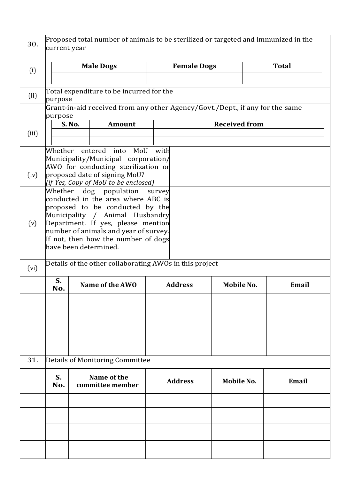| 30.   | Proposed total number of animals to be sterilized or targeted and immunized in the<br>current year                                                                                                                                                                                          |               |                                                                                               |                |                    |                      |              |  |  |
|-------|---------------------------------------------------------------------------------------------------------------------------------------------------------------------------------------------------------------------------------------------------------------------------------------------|---------------|-----------------------------------------------------------------------------------------------|----------------|--------------------|----------------------|--------------|--|--|
| (i)   |                                                                                                                                                                                                                                                                                             |               | <b>Male Dogs</b>                                                                              |                | <b>Female Dogs</b> |                      | <b>Total</b> |  |  |
| (ii)  | purpose                                                                                                                                                                                                                                                                                     |               | Total expenditure to be incurred for the                                                      |                |                    |                      |              |  |  |
| (iii) | purpose                                                                                                                                                                                                                                                                                     | <b>S. No.</b> | Grant-in-aid received from any other Agency/Govt./Dept., if any for the same<br><b>Amount</b> |                |                    | <b>Received from</b> |              |  |  |
| (iv)  | Whether<br>entered into MoU<br>with<br>Municipality/Municipal corporation/<br>AWO for conducting sterilization or<br>proposed date of signing MoU?<br>(if Yes, Copy of MoU to be enclosed)                                                                                                  |               |                                                                                               |                |                    |                      |              |  |  |
| (v)   | Whether dog population<br>survey<br>conducted in the area where ABC is<br>proposed to be conducted by the<br>Municipality / Animal Husbandry<br>Department. If yes, please mention<br>number of animals and year of survey.<br>If not, then how the number of dogs<br>have been determined. |               |                                                                                               |                |                    |                      |              |  |  |
| (vi)  | Details of the other collaborating AWOs in this project                                                                                                                                                                                                                                     |               |                                                                                               |                |                    |                      |              |  |  |
|       | S.<br>No.                                                                                                                                                                                                                                                                                   |               | Name of the AWO                                                                               | <b>Address</b> |                    | Mobile No.           | Email        |  |  |
|       |                                                                                                                                                                                                                                                                                             |               |                                                                                               |                |                    |                      |              |  |  |
|       |                                                                                                                                                                                                                                                                                             |               |                                                                                               |                |                    |                      |              |  |  |
| 31.   |                                                                                                                                                                                                                                                                                             |               | Details of Monitoring Committee                                                               |                |                    |                      |              |  |  |
|       | S.<br>No.                                                                                                                                                                                                                                                                                   |               | Name of the<br>committee member                                                               |                | <b>Address</b>     | Mobile No.           | Email        |  |  |
|       |                                                                                                                                                                                                                                                                                             |               |                                                                                               |                |                    |                      |              |  |  |
|       |                                                                                                                                                                                                                                                                                             |               |                                                                                               |                |                    |                      |              |  |  |
|       |                                                                                                                                                                                                                                                                                             |               |                                                                                               |                |                    |                      |              |  |  |